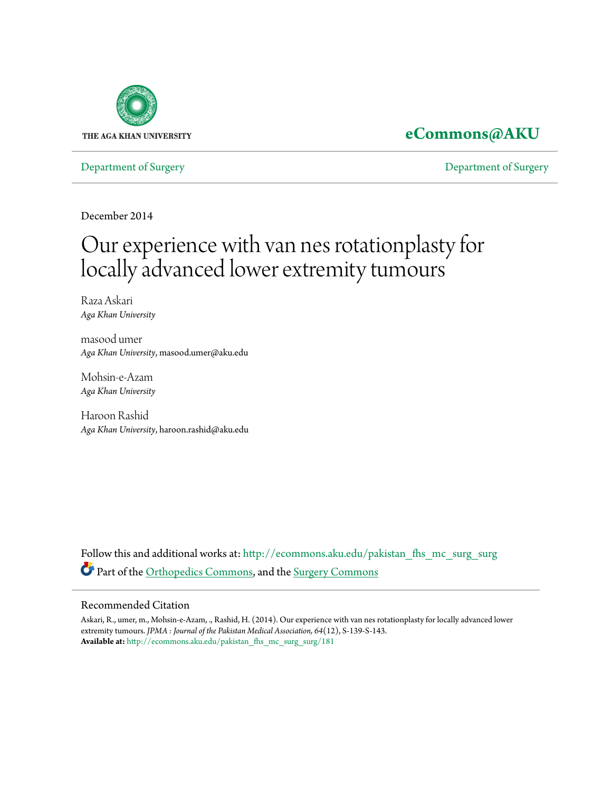

# **[eCommons@AKU](http://ecommons.aku.edu?utm_source=ecommons.aku.edu%2Fpakistan_fhs_mc_surg_surg%2F181&utm_medium=PDF&utm_campaign=PDFCoverPages)**

[Department of Surgery](http://ecommons.aku.edu/pakistan_fhs_mc_surg_surg?utm_source=ecommons.aku.edu%2Fpakistan_fhs_mc_surg_surg%2F181&utm_medium=PDF&utm_campaign=PDFCoverPages) [Department of Surgery](http://ecommons.aku.edu/pakistan_fhs_mc_surg?utm_source=ecommons.aku.edu%2Fpakistan_fhs_mc_surg_surg%2F181&utm_medium=PDF&utm_campaign=PDFCoverPages)

December 2014

# Our experience with van nes rotationplasty for locally advanced lower extremity tumours

Raza Askari *Aga Khan University*

masood umer *Aga Khan University*, masood.umer@aku.edu

Mohsin-e-Azam *Aga Khan University*

Haroon Rashid *Aga Khan University*, haroon.rashid@aku.edu

Follow this and additional works at: [http://ecommons.aku.edu/pakistan\\_fhs\\_mc\\_surg\\_surg](http://ecommons.aku.edu/pakistan_fhs_mc_surg_surg?utm_source=ecommons.aku.edu%2Fpakistan_fhs_mc_surg_surg%2F181&utm_medium=PDF&utm_campaign=PDFCoverPages) Part of the [Orthopedics Commons](http://network.bepress.com/hgg/discipline/696?utm_source=ecommons.aku.edu%2Fpakistan_fhs_mc_surg_surg%2F181&utm_medium=PDF&utm_campaign=PDFCoverPages), and the [Surgery Commons](http://network.bepress.com/hgg/discipline/706?utm_source=ecommons.aku.edu%2Fpakistan_fhs_mc_surg_surg%2F181&utm_medium=PDF&utm_campaign=PDFCoverPages)

#### Recommended Citation

Askari, R., umer, m., Mohsin-e-Azam, ., Rashid, H. (2014). Our experience with van nes rotationplasty for locally advanced lower extremity tumours. *JPMA : Journal of the Pakistan Medical Association, 64*(12), S-139-S-143. **Available at:** [http://ecommons.aku.edu/pakistan\\_fhs\\_mc\\_surg\\_surg/181](http://ecommons.aku.edu/pakistan_fhs_mc_surg_surg/181)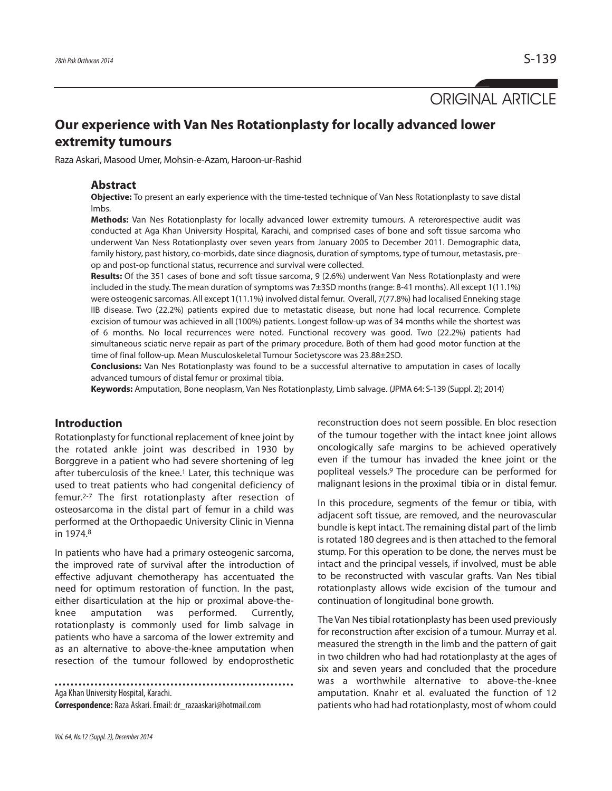ORIGINAL ARTICLE

## **Our experience with Van Nes Rotationplasty for locally advanced lower extremity tumours**

Raza Askari, Masood Umer, Mohsin-e-Azam, Haroon-ur-Rashid

#### **Abstract**

**Objective:** To present an early experience with the time-tested technique of Van Ness Rotationplasty to save distal lmbs.

**Methods:** Van Nes Rotationplasty for locally advanced lower extremity tumours. A reterorespective audit was conducted at Aga Khan University Hospital, Karachi, and comprised cases of bone and soft tissue sarcoma who underwent Van Ness Rotationplasty over seven years from January 2005 to December 2011. Demographic data, family history, past history, co-morbids, date since diagnosis, duration of symptoms, type of tumour, metastasis, preop and post-op functional status, recurrence and survival were collected.

**Results:** Of the 351 cases of bone and soft tissue sarcoma, 9 (2.6%) underwent Van Ness Rotationplasty and were included in the study. The mean duration of symptoms was 7±3SD months (range: 8-41 months). All except 1(11.1%) were osteogenic sarcomas. All except 1(11.1%) involved distal femur. Overall, 7(77.8%) had localised Enneking stage IIB disease. Two (22.2%) patients expired due to metastatic disease, but none had local recurrence. Complete excision of tumour was achieved in all (100%) patients. Longest follow-up was of 34 months while the shortest was of 6 months. No local recurrences were noted. Functional recovery was good. Two (22.2%) patients had simultaneous sciatic nerve repair as part of the primary procedure. Both of them had good motor function at the time of final follow-up. Mean Musculoskeletal Tumour Societyscore was 23.88±2SD.

**Conclusions:** Van Nes Rotationplasty was found to be a successful alternative to amputation in cases of locally advanced tumours of distal femur or proximal tibia.

**Keywords:** Amputation, Bone neoplasm, Van Nes Rotationplasty, Limb salvage. (JPMA 64: S-139 (Suppl. 2); 2014)

#### **Introduction**

Rotationplasty for functional replacement of knee joint by the rotated ankle joint was described in 1930 by Borggreve in a patient who had severe shortening of leg after tuberculosis of the knee.<sup>1</sup> Later, this technique was used to treat patients who had congenital deficiency of femur.2-7 The first rotationplasty after resection of osteosarcoma in the distal part of femur in a child was performed at the Orthopaedic University Clinic in Vienna in 1974.<sup>8</sup>

In patients who have had a primary osteogenic sarcoma, the improved rate of survival after the introduction of effective adjuvant chemotherapy has accentuated the need for optimum restoration of function. In the past, either disarticulation at the hip or proximal above-theknee amputation was performed. Currently, rotationplasty is commonly used for limb salvage in patients who have a sarcoma of the lower extremity and as an alternative to above-the-knee amputation when resection of the tumour followed by endoprosthetic

Aga Khan University Hospital, Karachi. **Correspondence:** Raza Askari. Email: dr\_razaaskari@hotmail.com reconstruction does not seem possible. En bloc resection of the tumour together with the intact knee joint allows oncologically safe margins to be achieved operatively even if the tumour has invaded the knee joint or the popliteal vessels.<sup>9</sup> The procedure can be performed for malignant lesions in the proximal tibia or in distal femur.

In this procedure, segments of the femur or tibia, with adjacent soft tissue, are removed, and the neurovascular bundle is kept intact. The remaining distal part of the limb is rotated 180 degrees and is then attached to the femoral stump. For this operation to be done, the nerves must be intact and the principal vessels, if involved, must be able to be reconstructed with vascular grafts. Van Nes tibial rotationplasty allows wide excision of the tumour and continuation of longitudinal bone growth.

The Van Nes tibial rotationplasty has been used previously for reconstruction after excision of a tumour. Murray et al. measured the strength in the limb and the pattern of gait in two children who had had rotationplasty at the ages of six and seven years and concluded that the procedure was a worthwhile alternative to above-the-knee amputation. Knahr et al. evaluated the function of 12 patients who had had rotationplasty, most of whom could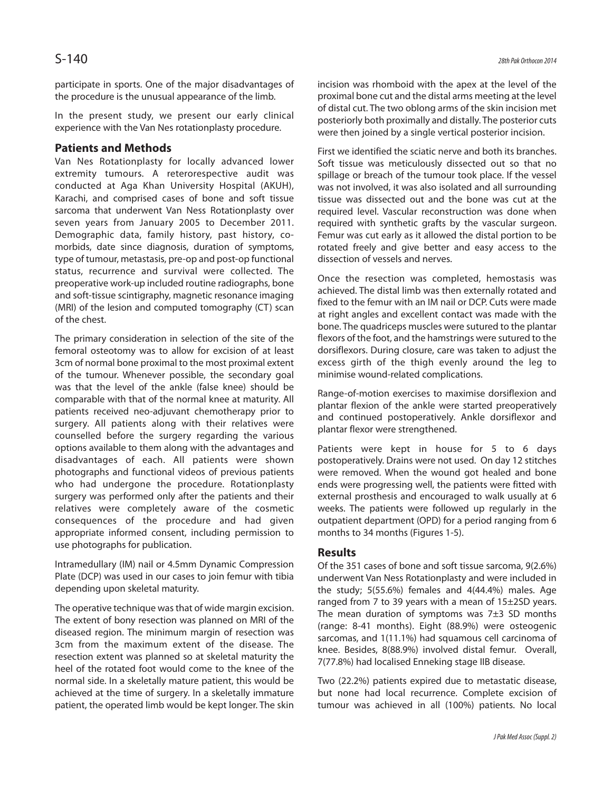participate in sports. One of the major disadvantages of the procedure is the unusual appearance of the limb.

In the present study, we present our early clinical experience with the Van Nes rotationplasty procedure.

#### **Patients and Methods**

Van Nes Rotationplasty for locally advanced lower extremity tumours. A reterorespective audit was conducted at Aga Khan University Hospital (AKUH), Karachi, and comprised cases of bone and soft tissue sarcoma that underwent Van Ness Rotationplasty over seven years from January 2005 to December 2011. Demographic data, family history, past history, comorbids, date since diagnosis, duration of symptoms, type of tumour, metastasis, pre-op and post-op functional status, recurrence and survival were collected. The preoperative work-up included routine radiographs, bone and soft-tissue scintigraphy, magnetic resonance imaging (MRI) of the lesion and computed tomography (CT) scan of the chest.

The primary consideration in selection of the site of the femoral osteotomy was to allow for excision of at least 3cm of normal bone proximal to the most proximal extent of the tumour. Whenever possible, the secondary goal was that the level of the ankle (false knee) should be comparable with that of the normal knee at maturity. All patients received neo-adjuvant chemotherapy prior to surgery. All patients along with their relatives were counselled before the surgery regarding the various options available to them along with the advantages and disadvantages of each. All patients were shown photographs and functional videos of previous patients who had undergone the procedure. Rotationplasty surgery was performed only after the patients and their relatives were completely aware of the cosmetic consequences of the procedure and had given appropriate informed consent, including permission to use photographs for publication.

Intramedullary (IM) nail or 4.5mm Dynamic Compression Plate (DCP) was used in our cases to join femur with tibia depending upon skeletal maturity.

The operative technique was that of wide margin excision. The extent of bony resection was planned on MRI of the diseased region. The minimum margin of resection was 3cm from the maximum extent of the disease. The resection extent was planned so at skeletal maturity the heel of the rotated foot would come to the knee of the normal side. In a skeletally mature patient, this would be achieved at the time of surgery. In a skeletally immature patient, the operated limb would be kept longer. The skin

incision was rhomboid with the apex at the level of the proximal bone cut and the distal arms meeting at the level of distal cut. The two oblong arms of the skin incision met posteriorly both proximally and distally. The posterior cuts were then joined by a single vertical posterior incision.

First we identified the sciatic nerve and both its branches. Soft tissue was meticulously dissected out so that no spillage or breach of the tumour took place. If the vessel was not involved, it was also isolated and all surrounding tissue was dissected out and the bone was cut at the required level. Vascular reconstruction was done when required with synthetic grafts by the vascular surgeon. Femur was cut early as it allowed the distal portion to be rotated freely and give better and easy access to the dissection of vessels and nerves.

Once the resection was completed, hemostasis was achieved. The distal limb was then externally rotated and fixed to the femur with an IM nail or DCP. Cuts were made at right angles and excellent contact was made with the bone. The quadriceps muscles were sutured to the plantar flexors of the foot, and the hamstrings were sutured to the dorsiflexors. During closure, care was taken to adjust the excess girth of the thigh evenly around the leg to minimise wound-related complications.

Range-of-motion exercises to maximise dorsiflexion and plantar flexion of the ankle were started preoperatively and continued postoperatively. Ankle dorsiflexor and plantar flexor were strengthened.

Patients were kept in house for 5 to 6 days postoperatively. Drains were not used. On day 12 stitches were removed. When the wound got healed and bone ends were progressing well, the patients were fitted with external prosthesis and encouraged to walk usually at 6 weeks. The patients were followed up regularly in the outpatient department (OPD) for a period ranging from 6 months to 34 months (Figures 1-5).

#### **Results**

Of the 351 cases of bone and soft tissue sarcoma, 9(2.6%) underwent Van Ness Rotationplasty and were included in the study; 5(55.6%) females and 4(44.4%) males. Age ranged from 7 to 39 years with a mean of 15±2SD years. The mean duration of symptoms was  $7±3$  SD months (range: 8-41 months). Eight (88.9%) were osteogenic sarcomas, and 1(11.1%) had squamous cell carcinoma of knee. Besides, 8(88.9%) involved distal femur. Overall, 7(77.8%) had localised Enneking stage IIB disease.

Two (22.2%) patients expired due to metastatic disease, but none had local recurrence. Complete excision of tumour was achieved in all (100%) patients. No local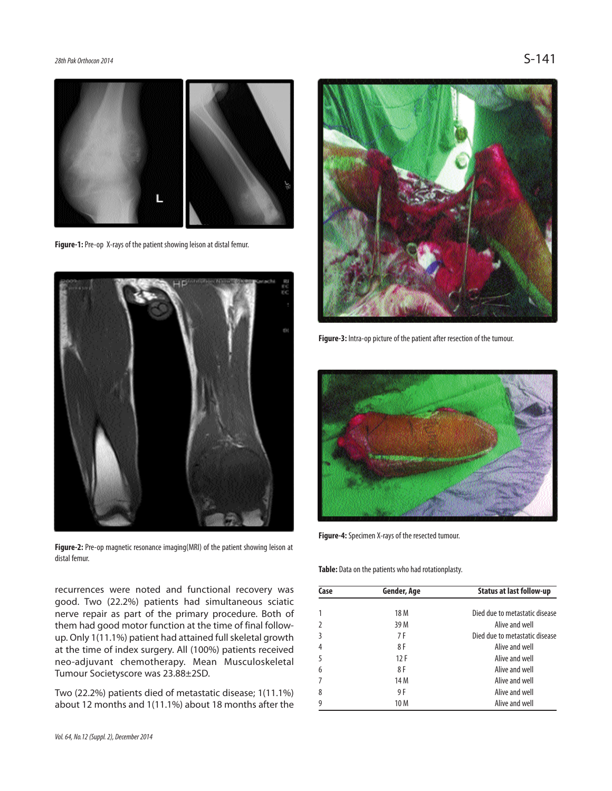28th Pak Orthocon 2014  $\mathsf{S}\text{-141}$ 



**Figure-1:** Pre-op X-rays of the patient showing leison at distal femur.



**Figure-2:** Pre-op magnetic resonance imaging(MRI) of the patient showing leison at distal femur.

recurrences were noted and functional recovery was good. Two (22.2%) patients had simultaneous sciatic nerve repair as part of the primary procedure. Both of them had good motor function at the time of final followup. Only 1(11.1%) patient had attained full skeletal growth at the time of index surgery. All (100%) patients received neo-adjuvant chemotherapy. Mean Musculoskeletal Tumour Societyscore was 23.88±2SD.

Two (22.2%) patients died of metastatic disease; 1(11.1%) about 12 months and 1(11.1%) about 18 months after the



**Figure-3:** Intra-op picture of the patient after resection of the tumour.



**Figure-4:** Specimen X-rays of the resected tumour.

**Table:** Data on the patients who had rotationplasty.

| Case | Gender, Age | <b>Status at last follow-up</b> |
|------|-------------|---------------------------------|
|      | 18 M        | Died due to metastatic disease  |
|      | 39 M        | Alive and well                  |
| 3    | 7 F         | Died due to metastatic disease  |
| 4    | 8 F         | Alive and well                  |
| 5    | 12F         | Alive and well                  |
| 6    | 8 F         | Alive and well                  |
|      | 14 M        | Alive and well                  |
| 8    | 9 F         | Alive and well                  |
|      | 10 M        | Alive and well                  |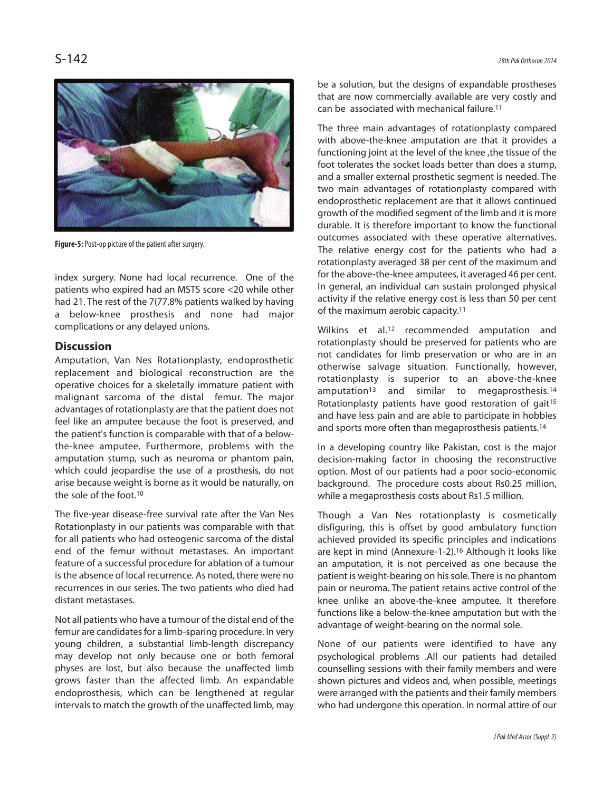

**Figure-5:** Post-op picture of the patient after surgery.

index surgery. None had local recurrence. One of the patients who expired had an MSTS score <20 while other had 21. The rest of the 7(77.8% patients walked by having a below-knee prosthesis and none had major complications or any delayed unions.

### **Discussion**

Amputation, Van Nes Rotationplasty, endoprosthetic replacement and biological reconstruction are the operative choices for a skeletally immature patient with malignant sarcoma of the distal femur. The major advantages of rotationplasty are that the patient does not feel like an amputee because the foot is preserved, and the patient's function is comparable with that of a belowthe-knee amputee. Furthermore, problems with the amputation stump, such as neuroma or phantom pain, which could jeopardise the use of a prosthesis, do not arise because weight is borne as it would be naturally, on the sole of the foot.<sup>10</sup>

The five-year disease-free survival rate after the Van Nes Rotationplasty in our patients was comparable with that for all patients who had osteogenic sarcoma of the distal end of the femur without metastases. An important feature of a successful procedure for ablation of a tumour is the absence of local recurrence. As noted, there were no recurrences in our series. The two patients who died had distant metastases.

Not all patients who have a tumour of the distal end of the femur are candidates for a limb-sparing procedure. In very young children, a substantial limb-length discrepancy may develop not only because one or both femoral physes are lost, but also because the unaffected limb grows faster than the affected limb. An expandable endoprosthesis, which can be lengthened at regular intervals to match the growth of the unaffected limb, may be a solution, but the designs of expandable prostheses that are now commercially available are very costly and can be associated with mechanical failure.<sup>11</sup>

The three main advantages of rotationplasty compared with above-the-knee amputation are that it provides a functioning joint at the level of the knee ,the tissue of the foot tolerates the socket loads better than does a stump, and a smaller external prosthetic segment is needed. The two main advantages of rotationplasty compared with endoprosthetic replacement are that it allows continued growth of the modified segment of the limb and it is more durable. It is therefore important to know the functional outcomes associated with these operative alternatives. The relative energy cost for the patients who had a rotationplasty averaged 38 per cent of the maximum and for the above-the-knee amputees, it averaged 46 per cent. In general, an individual can sustain prolonged physical activity if the relative energy cost is less than 50 per cent of the maximum aerobic capacity.<sup>11</sup>

Wilkins et al.<sup>12</sup> recommended amputation and rotationplasty should be preserved for patients who are not candidates for limb preservation or who are in an otherwise salvage situation. Functionally, however, rotationplasty is superior to an above-the-knee amputation<sup>13</sup> and similar to megaprosthesis.<sup>14</sup> Rotationplasty patients have good restoration of gait<sup>15</sup> and have less pain and are able to participate in hobbies and sports more often than megaprosthesis patients.<sup>14</sup>

In a developing country like Pakistan, cost is the major decision-making factor in choosing the reconstructive option. Most of our patients had a poor socio-economic background. The procedure costs about Rs0.25 million, while a megaprosthesis costs about Rs1.5 million.

Though a Van Nes rotationplasty is cosmetically disfiguring, this is offset by good ambulatory function achieved provided its specific principles and indications are kept in mind (Annexure-1-2).<sup>16</sup> Although it looks like an amputation, it is not perceived as one because the patient is weight-bearing on his sole. There is no phantom pain or neuroma. The patient retains active control of the knee unlike an above-the-knee amputee. It therefore functions like a below-the-knee amputation but with the advantage of weight-bearing on the normal sole.

None of our patients were identified to have any psychological problems .All our patients had detailed counselling sessions with their family members and were shown pictures and videos and, when possible, meetings were arranged with the patients and their family members who had undergone this operation. In normal attire of our